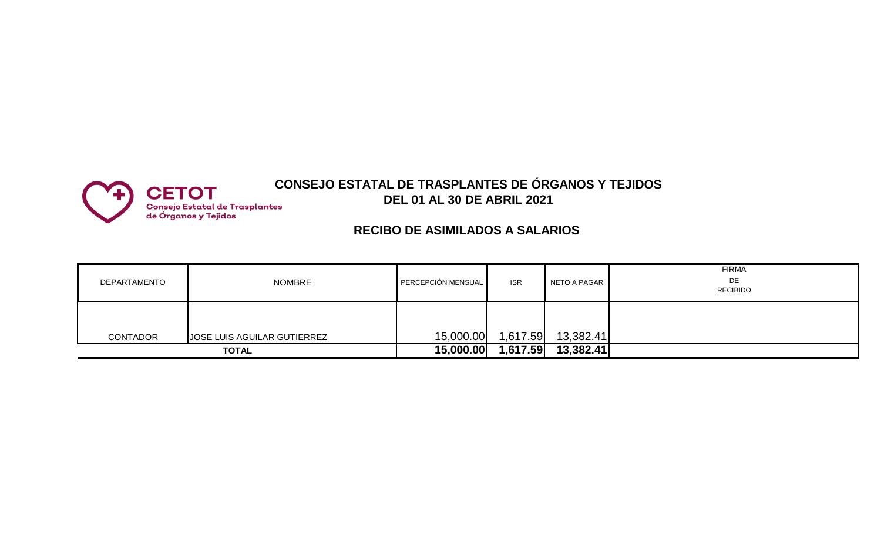

## **CONSEJO ESTATAL DE TRASPLANTES DE ÓRGANOS Y TEJIDOS DEL 01 AL 30 DE ABRIL 2021**

## **RECIBO DE ASIMILADOS A SALARIOS**

| DEPARTAMENTO    | <b>NOMBRE</b>                      | PERCEPCIÓN MENSUAL | <b>ISR</b> | NETO A PAGAR | <b>FIRMA</b><br>DE<br><b>RECIBIDO</b> |
|-----------------|------------------------------------|--------------------|------------|--------------|---------------------------------------|
| <b>CONTADOR</b> | <b>JOSE LUIS AGUILAR GUTIERREZ</b> | 15,000.00          | 1,617.59   | 13,382.41    |                                       |
|                 | <b>TOTAL</b>                       | 15,000.00          | 1,617.59   | 13,382.41    |                                       |